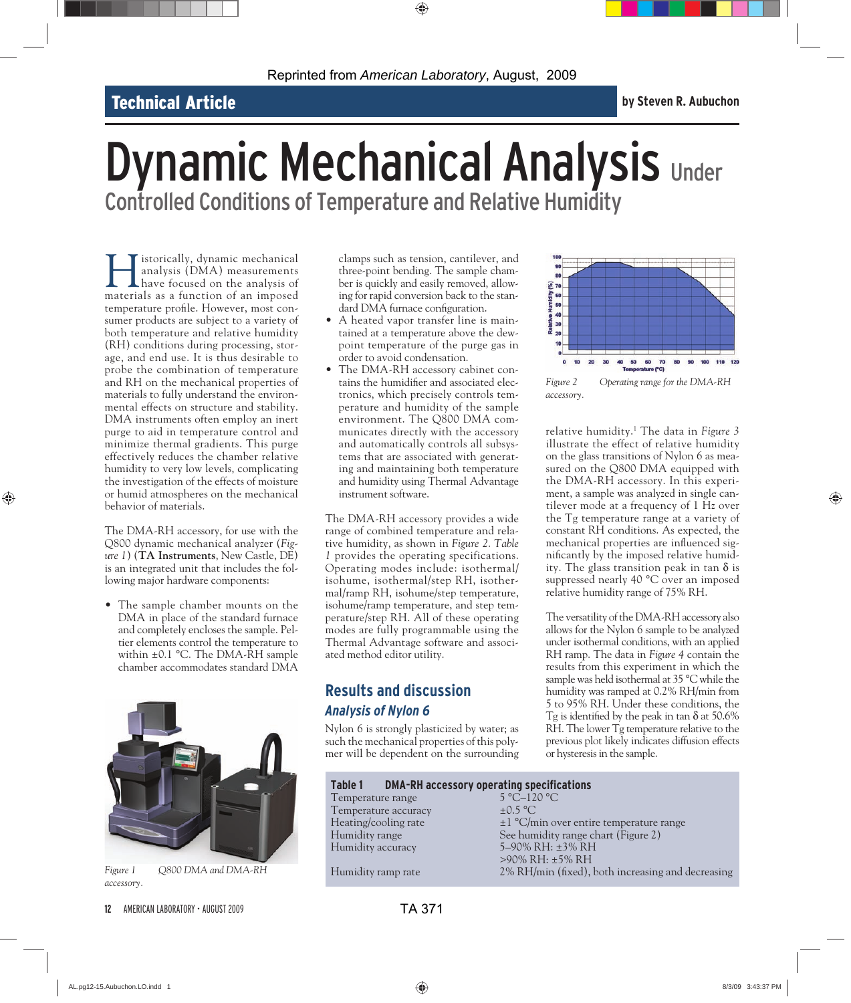## Technical Article **by Steven R. Aubuchon**

# **Dynamic Mechanical Analysis Under** Controlled Conditions of Temperature and Relative Humidity

Interior is dependent of the analysis (DMA) measurements<br>have focused on the analysis of<br>materials as a function of an imposed analysis (DMA) measurements have focused on the analysis of materials as a function of an imposed temperature profile. However, most consumer products are subject to a variety of both temperature and relative humidity (RH) conditions during processing, storage, and end use. It is thus desirable to probe the combination of temperature and RH on the mechanical properties of materials to fully understand the environmental effects on structure and stability. DMA instruments often employ an inert purge to aid in temperature control and minimize thermal gradients. This purge effectively reduces the chamber relative humidity to very low levels, complicating the investigation of the effects of moisture or humid atmospheres on the mechanical behavior of materials.

The DMA-RH accessory, for use with the Q800 dynamic mechanical analyzer (*Figure 1*) (**TA Instruments**, New Castle, DE) is an integrated unit that includes the following major hardware components:

• The sample chamber mounts on the DMA in place of the standard furnace and completely encloses the sample. Peltier elements control the temperature to within ±0.1 °C. The DMA-RH sample chamber accommodates standard DMA



*Figure 1 Q800 DMA and DMA-RH accessory.*

clamps such as tension, cantilever, and three-point bending. The sample chamber is quickly and easily removed, allowing for rapid conversion back to the standard DMA furnace configuration.

- A heated vapor transfer line is maintained at a temperature above the dewpoint temperature of the purge gas in order to avoid condensation.
- The DMA-RH accessory cabinet contains the humidifier and associated electronics, which precisely controls temperature and humidity of the sample environment. The Q800 DMA communicates directly with the accessory and automatically controls all subsystems that are associated with generating and maintaining both temperature and humidity using Thermal Advantage instrument software.

The DMA-RH accessory provides a wide range of combined temperature and relative humidity, as shown in *Figure 2*. *Table 1* provides the operating specifications. Operating modes include: isothermal/ isohume, isothermal/step RH, isothermal/ramp RH, isohume/step temperature, isohume/ramp temperature, and step temperature/step RH. All of these operating modes are fully programmable using the Thermal Advantage software and associated method editor utility.

### **Results and discussion** *Analysis of Nylon 6*

Nylon 6 is strongly plasticized by water; as such the mechanical properties of this polymer will be dependent on the surrounding



*Figure 2 Operating range for the DMA-RH accessory.*

relative humidity.1 The data in *Figure 3* illustrate the effect of relative humidity on the glass transitions of Nylon 6 as measured on the Q800 DMA equipped with the DMA-RH accessory. In this experiment, a sample was analyzed in single cantilever mode at a frequency of 1 Hz over the Tg temperature range at a variety of constant RH conditions. As expected, the mechanical properties are influenced significantly by the imposed relative humidity. The glass transition peak in tan  $\delta$  is suppressed nearly 40 °C over an imposed relative humidity range of 75% RH.

The versatility of the DMA-RH accessory also allows for the Nylon 6 sample to be analyzed under isothermal conditions, with an applied RH ramp. The data in *Figure 4* contain the results from this experiment in which the sample was held isothermal at 35 °C while the humidity was ramped at 0.2% RH/min from 5 to 95% RH. Under these conditions, the Tg is identified by the peak in tan  $\delta$  at 50.6% RH. The lower Tg temperature relative to the previous plot likely indicates diffusion effects or hysteresis in the sample.

| <b>DMA-RH accessory operating specifications</b><br>Table 1 |                                                   |
|-------------------------------------------------------------|---------------------------------------------------|
| Temperature range                                           | 5 °C-120 °C                                       |
| Temperature accuracy                                        | $\pm 0.5$ °C                                      |
| Heating/cooling rate                                        | $\pm 1$ °C/min over entire temperature range      |
| Humidity range                                              | See humidity range chart (Figure 2)               |
| Humidity accuracy                                           | 5-90% RH: ±3% RH                                  |
|                                                             | $>90\%$ RH: $\pm$ 5% RH                           |
| Humidity ramp rate                                          | 2% RH/min (fixed), both increasing and decreasing |
|                                                             |                                                   |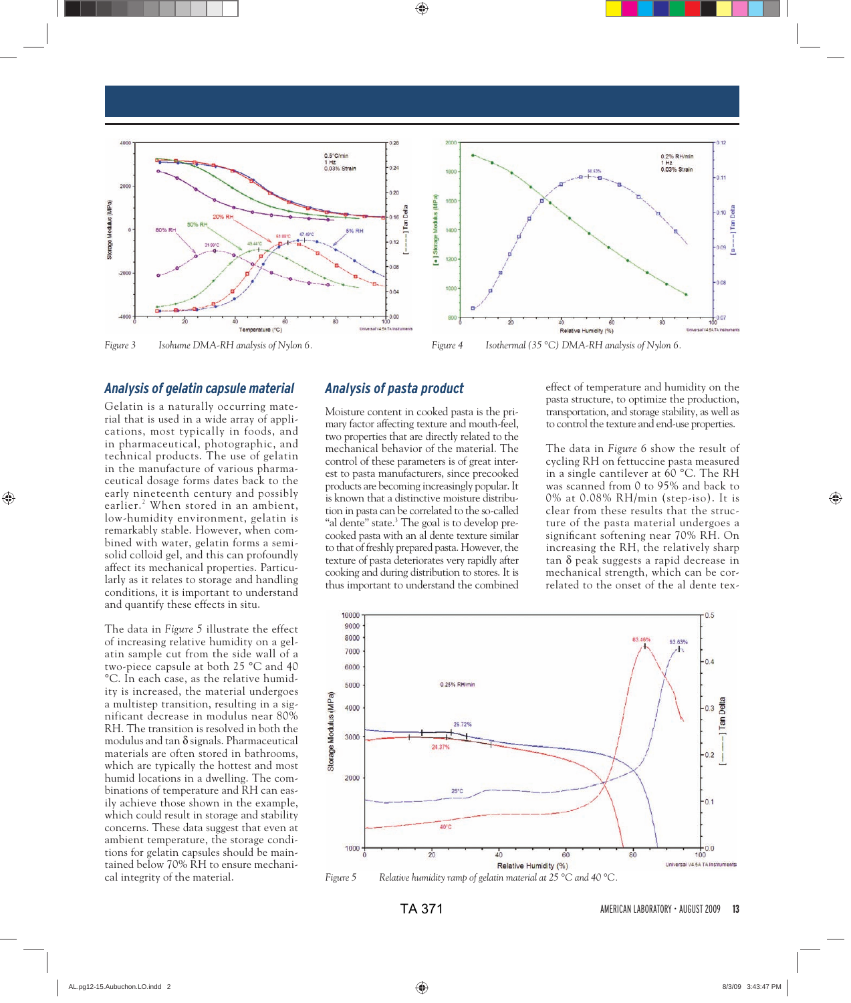

#### *Analysis of gelatin capsule material*

Gelatin is a naturally occurring material that is used in a wide array of applications, most typically in foods, and in pharmaceutical, photographic, and technical products. The use of gelatin in the manufacture of various pharmaceutical dosage forms dates back to the early nineteenth century and possibly earlier.2 When stored in an ambient, low- humidity environment, gelatin is remarkably stable. However, when combined with water, gelatin forms a semisolid colloid gel, and this can profoundly affect its mechanical properties. Particularly as it relates to storage and handling conditions, it is important to understand and quantify these effects in situ.

The data in *Figure 5* illustrate the effect of increasing relative humidity on a gelatin sample cut from the side wall of a two-piece capsule at both 25 °C and 40 °C. In each case, as the relative humidity is increased, the material undergoes a multistep transition, resulting in a significant decrease in modulus near 80% RH. The transition is resolved in both the modulus and tan  $\delta$  signals. Pharmaceutical materials are often stored in bathrooms, which are typically the hottest and most humid locations in a dwelling. The combinations of temperature and RH can easily achieve those shown in the example, which could result in storage and stability concerns. These data suggest that even at ambient temperature, the storage conditions for gelatin capsules should be maintained below 70% RH to ensure mechanical integrity of the material.

#### *Analysis of pasta product*

Moisture content in cooked pasta is the primary factor affecting texture and mouth-feel, two properties that are directly related to the mechanical behavior of the material. The control of these parameters is of great interest to pasta manufacturers, since precooked products are becoming increasingly popular. It is known that a distinctive moisture distribution in pasta can be correlated to the so-called "al dente" state.<sup>3</sup> The goal is to develop precooked pasta with an al dente texture similar to that of freshly prepared pasta. However, the texture of pasta deteriorates very rapidly after cooking and during distribution to stores. It is thus important to understand the combined

effect of temperature and humidity on the pasta structure, to optimize the production, transportation, and storage stability, as well as to control the texture and end-use properties.

The data in *Figure 6* show the result of cycling RH on fettuccine pasta measured in a single cantilever at 60 °C. The RH was scanned from 0 to 95% and back to 0% at 0.08% RH/min (step-iso). It is clear from these results that the structure of the pasta material undergoes a significant softening near 70% RH. On increasing the RH, the relatively sharp tan δ peak suggests a rapid decrease in mechanical strength, which can be correlated to the onset of the al dente tex-



*Figure 5 Relative humidity ramp of gelatin material at 25 °C and 40 °C.*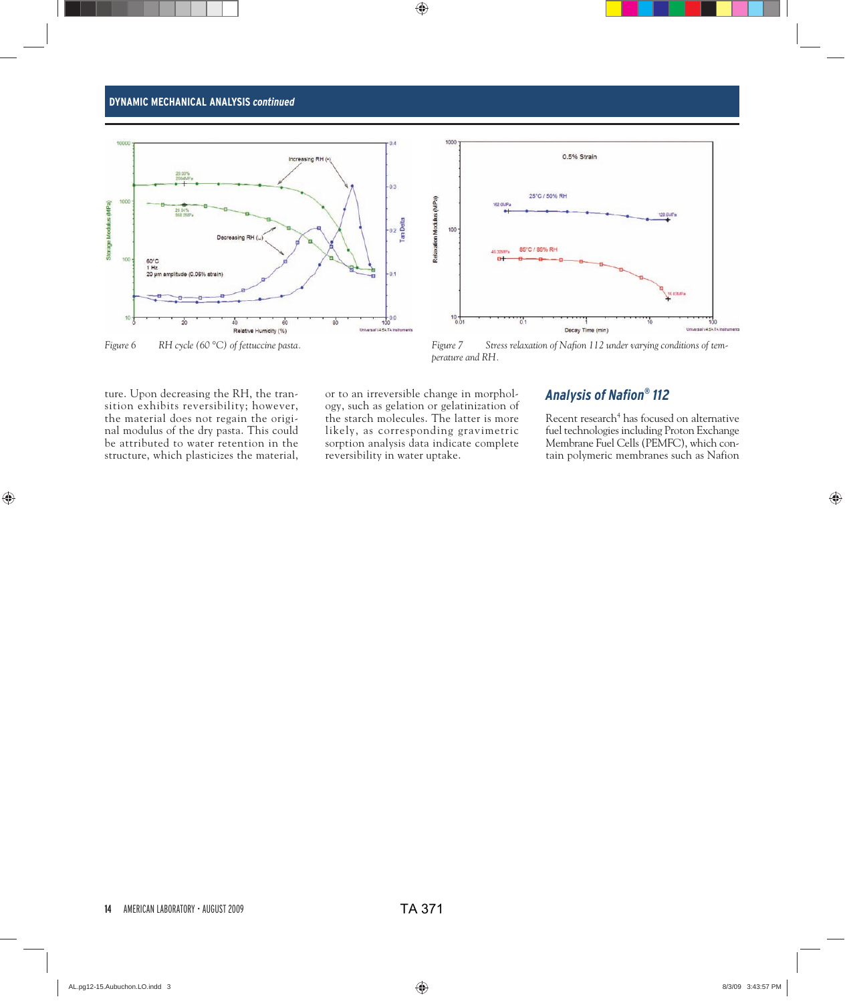#### **DYNAMIC MECHANICAL ANALYSIS** *continued*





*perature and RH.*

ture. Upon decreasing the RH, the transition exhibits reversibility; however, the material does not regain the original modulus of the dry pasta. This could be attributed to water retention in the structure, which plasticizes the material,

or to an irreversible change in morphology, such as gelation or gelatinization of the starch molecules. The latter is more likely, as corresponding gravimetric sorption analysis data indicate complete reversibility in water uptake.

#### *Analysis of Nafi on® 112*

Recent research<sup>4</sup> has focused on alternative fuel technologies including Proton Exchange Membrane Fuel Cells (PEMFC), which contain polymeric membranes such as Nafion